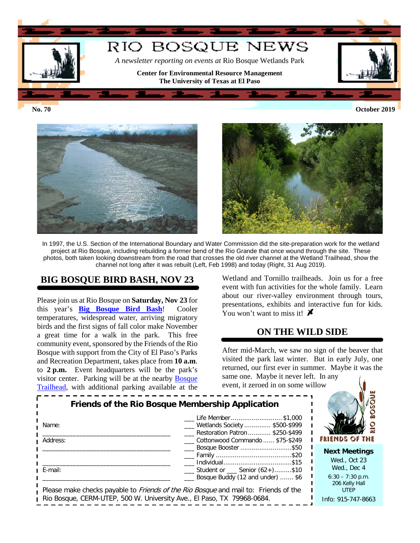

**No. 70 October 2019**



In 1997, the U.S. Section of the International Boundary and Water Commission did the site-preparation work for the wetland project at Rio Bosque, including rebuilding a former bend of the Rio Grande that once wound through the site. These photos, both taken looking downstream from the road that crosses the old river channel at the Wetland Trailhead, show the channel not long after it was rebuilt (Left, Feb 1998) and today (Right, 31 Aug 2019).

## **BIG BOSQUE BIRD BASH, NOV 23**

Please join us at Rio Bosque on **Saturday, Nov 23** for this year's **[Big Bosque Bird Bash](https://research.utep.edu/Default.aspx?tabid=65792)**! Cooler temperatures, widespread water, arriving migratory birds and the first signs of fall color make November a great time for a walk in the park. This free community event, sponsored by the Friends of the Rio Bosque with support from the City of El Paso's Parks and Recreation Department, takes place from **10 a.m**. to **2 p.m.** Event headquarters will be the park's visitor center. Parking will be at the nearby [Bosque](https://research.utep.edu/Default.aspx?tabid=67249)  [Trailhead,](https://research.utep.edu/Default.aspx?tabid=67249) with additional parking available at the

Wetland and Tornillo trailheads. Join us for a free event with fun activities for the whole family. Learn about our river-valley environment through tours, presentations, exhibits and interactive fun for kids. You won't want to miss it!  $\blacktriangleright$ 

## **ON THE WILD SIDE**

After mid-March, we saw no sign of the beaver that visited the park last winter. But in early July, one returned, our first ever in summer. Maybe it was the

same one. Maybe it never left. In any event, it zeroed in on some willow

| Friends of the Rio Bosque Membership Application<br>Name:<br>Address:                                                                                                | FRIENDS OF THE                                                        |                                                     |
|----------------------------------------------------------------------------------------------------------------------------------------------------------------------|-----------------------------------------------------------------------|-----------------------------------------------------|
|                                                                                                                                                                      | Cottonwood Commando  \$75-\$249<br>Bosque Booster \$50                | <b>Next Meetings</b><br>Wed., Oct 23                |
| E-mail:                                                                                                                                                              | __ Student or __ Senior (62+)\$10<br>Bosque Buddy (12 and under)  \$6 | Wed., Dec 4<br>$6:30 - 7:30$ p.m.<br>206 Kelly Hall |
| Please make checks payable to <i>Friends of the Rio Bosque</i> and mail to: Friends of the<br>Rio Bosque, CERM-UTEP, 500 W. University Ave., El Paso, TX 79968-0684. | <b>UTEP</b><br>Info: 915-747-8663                                     |                                                     |